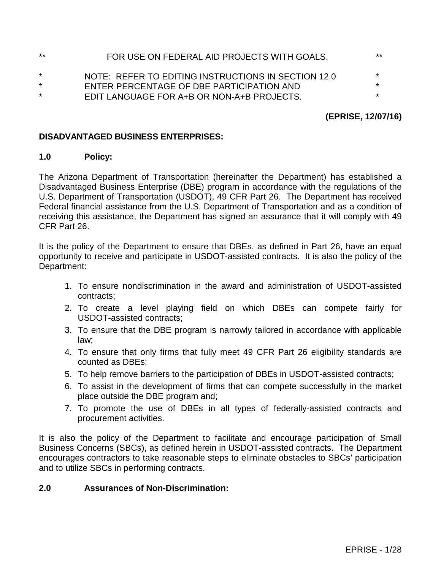| $***$   | FOR USE ON FEDERAL AID PROJECTS WITH GOALS.         | **      |
|---------|-----------------------------------------------------|---------|
| $\star$ | NOTE: REFER TO EDITING INSTRUCTIONS IN SECTION 12.0 | $\star$ |
| $\star$ | ENTER PERCENTAGE OF DBE PARTICIPATION AND           | $\star$ |
| $\star$ | EDIT LANGUAGE FOR A+B OR NON-A+B PROJECTS.          | $\star$ |

# **(EPRISE, 12/07/16)**

## **DISADVANTAGED BUSINESS ENTERPRISES:**

### **1.0 Policy:**

The Arizona Department of Transportation (hereinafter the Department) has established a Disadvantaged Business Enterprise (DBE) program in accordance with the regulations of the U.S. Department of Transportation (USDOT), 49 CFR Part 26. The Department has received Federal financial assistance from the U.S. Department of Transportation and as a condition of receiving this assistance, the Department has signed an assurance that it will comply with 49 CFR Part 26.

It is the policy of the Department to ensure that DBEs, as defined in Part 26, have an equal opportunity to receive and participate in USDOT-assisted contracts. It is also the policy of the Department:

- 1. To ensure nondiscrimination in the award and administration of USDOT-assisted contracts;
- 2. To create a level playing field on which DBEs can compete fairly for USDOT-assisted contracts;
- 3. To ensure that the DBE program is narrowly tailored in accordance with applicable law;
- 4. To ensure that only firms that fully meet 49 CFR Part 26 eligibility standards are counted as DBEs;
- 5. To help remove barriers to the participation of DBEs in USDOT-assisted contracts;
- 6. To assist in the development of firms that can compete successfully in the market place outside the DBE program and;
- 7. To promote the use of DBEs in all types of federally-assisted contracts and procurement activities.

It is also the policy of the Department to facilitate and encourage participation of Small Business Concerns (SBCs), as defined herein in USDOT-assisted contracts. The Department encourages contractors to take reasonable steps to eliminate obstacles to SBCs' participation and to utilize SBCs in performing contracts.

# **2.0 Assurances of Non-Discrimination:**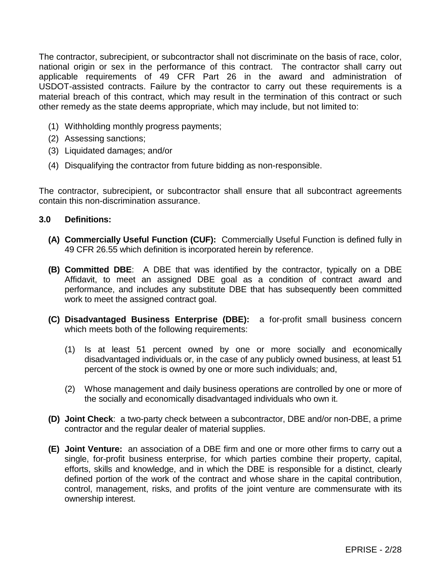The contractor, subrecipient, or subcontractor shall not discriminate on the basis of race, color, national origin or sex in the performance of this contract. The contractor shall carry out applicable requirements of 49 CFR Part 26 in the award and administration of USDOT-assisted contracts. Failure by the contractor to carry out these requirements is a material breach of this contract, which may result in the termination of this contract or such other remedy as the state deems appropriate, which may include, but not limited to:

- (1) Withholding monthly progress payments;
- (2) Assessing sanctions;
- (3) Liquidated damages; and/or
- (4) Disqualifying the contractor from future bidding as non-responsible.

The contractor, subrecipient**,** or subcontractor shall ensure that all subcontract agreements contain this non-discrimination assurance.

### **3.0 Definitions:**

- **(A) Commercially Useful Function (CUF):** Commercially Useful Function is defined fully in 49 CFR 26.55 which definition is incorporated herein by reference.
- **(B) Committed DBE**: A DBE that was identified by the contractor, typically on a DBE Affidavit, to meet an assigned DBE goal as a condition of contract award and performance, and includes any substitute DBE that has subsequently been committed work to meet the assigned contract goal.
- **(C) Disadvantaged Business Enterprise (DBE):** a for-profit small business concern which meets both of the following requirements:
	- (1) Is at least 51 percent owned by one or more socially and economically disadvantaged individuals or, in the case of any publicly owned business, at least 51 percent of the stock is owned by one or more such individuals; and,
	- (2) Whose management and daily business operations are controlled by one or more of the socially and economically disadvantaged individuals who own it.
- **(D) Joint Check**: a two-party check between a subcontractor, DBE and/or non-DBE, a prime contractor and the regular dealer of material supplies.
- **(E) Joint Venture:** an association of a DBE firm and one or more other firms to carry out a single, for-profit business enterprise, for which parties combine their property, capital, efforts, skills and knowledge, and in which the DBE is responsible for a distinct, clearly defined portion of the work of the contract and whose share in the capital contribution, control, management, risks, and profits of the joint venture are commensurate with its ownership interest.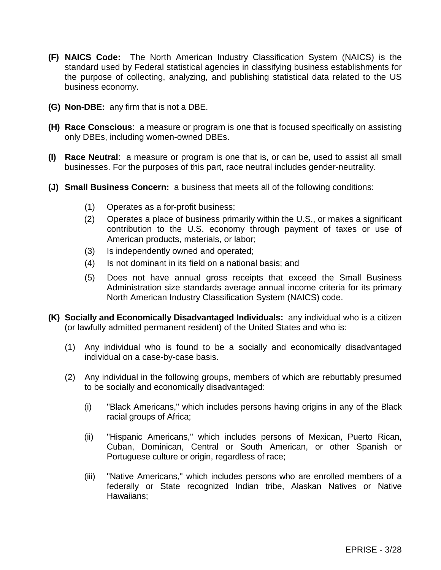- **(F) NAICS Code:** The North American Industry Classification System (NAICS) is the standard used by Federal statistical agencies in classifying business establishments for the purpose of collecting, analyzing, and publishing statistical data related to the US business economy.
- **(G) Non-DBE:** any firm that is not a DBE.
- **(H) Race Conscious**: a measure or program is one that is focused specifically on assisting only DBEs, including women-owned DBEs.
- **(I) Race Neutral**: a measure or program is one that is, or can be, used to assist all small businesses. For the purposes of this part, race neutral includes gender-neutrality.
- **(J) Small Business Concern:** a business that meets all of the following conditions:
	- (1) Operates as a for-profit business;
	- (2) Operates a place of business primarily within the U.S., or makes a significant contribution to the U.S. economy through payment of taxes or use of American products, materials, or labor;
	- (3) Is independently owned and operated;
	- (4) Is not dominant in its field on a national basis; and
	- (5) Does not have annual gross receipts that exceed the Small Business Administration size standards average annual income criteria for its primary North American Industry Classification System (NAICS) code.
- **(K) Socially and Economically Disadvantaged Individuals:** any individual who is a citizen (or lawfully admitted permanent resident) of the United States and who is:
	- (1) Any individual who is found to be a socially and economically disadvantaged individual on a case-by-case basis.
	- (2) Any individual in the following groups, members of which are rebuttably presumed to be socially and economically disadvantaged:
		- (i) "Black Americans," which includes persons having origins in any of the Black racial groups of Africa;
		- (ii) "Hispanic Americans," which includes persons of Mexican, Puerto Rican, Cuban, Dominican, Central or South American, or other Spanish or Portuguese culture or origin, regardless of race;
		- (iii) "Native Americans," which includes persons who are enrolled members of a federally or State recognized Indian tribe, Alaskan Natives or Native Hawaiians;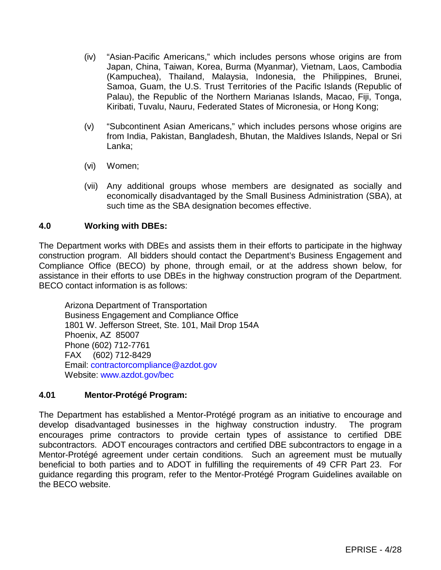- (iv) "Asian-Pacific Americans," which includes persons whose origins are from Japan, China, Taiwan, Korea, Burma (Myanmar), Vietnam, Laos, Cambodia (Kampuchea), Thailand, Malaysia, Indonesia, the Philippines, Brunei, Samoa, Guam, the U.S. Trust Territories of the Pacific Islands (Republic of Palau), the Republic of the Northern Marianas Islands, Macao, Fiji, Tonga, Kiribati, Tuvalu, Nauru, Federated States of Micronesia, or Hong Kong;
- (v) "Subcontinent Asian Americans," which includes persons whose origins are from India, Pakistan, Bangladesh, Bhutan, the Maldives Islands, Nepal or Sri Lanka;
- (vi) Women;
- (vii) Any additional groups whose members are designated as socially and economically disadvantaged by the Small Business Administration (SBA), at such time as the SBA designation becomes effective.

### **4.0 Working with DBEs:**

The Department works with DBEs and assists them in their efforts to participate in the highway construction program. All bidders should contact the Department's Business Engagement and Compliance Office (BECO) by phone, through email, or at the address shown below, for assistance in their efforts to use DBEs in the highway construction program of the Department. BECO contact information is as follows:

Arizona Department of Transportation Business Engagement and Compliance Office 1801 W. Jefferson Street, Ste. 101, Mail Drop 154A Phoenix, AZ 85007 Phone (602) 712-7761 FAX (602) 712-8429 Email: [contractorcompliance@azdot.gov](mailto:contractorcompliance@azdot.gov) Website: [www.azdot.gov/bec](http://www.azdot.gov/bec)

### **4.01 Mentor-Protégé Program:**

The Department has established a Mentor-Protégé program as an initiative to encourage and develop disadvantaged businesses in the highway construction industry. The program encourages prime contractors to provide certain types of assistance to certified DBE subcontractors. ADOT encourages contractors and certified DBE subcontractors to engage in a Mentor-Protégé agreement under certain conditions. Such an agreement must be mutually beneficial to both parties and to ADOT in fulfilling the requirements of 49 CFR Part 23. For guidance regarding this program, refer to the Mentor-Protégé Program Guidelines available on the BECO website.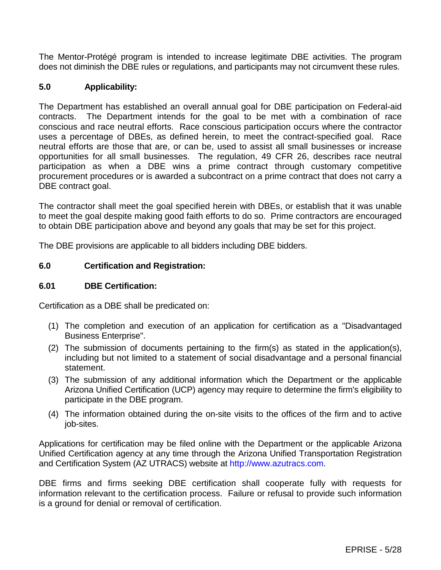The Mentor-Protégé program is intended to increase legitimate DBE activities. The program does not diminish the DBE rules or regulations, and participants may not circumvent these rules.

## **5.0 Applicability:**

The Department has established an overall annual goal for DBE participation on Federal-aid contracts. The Department intends for the goal to be met with a combination of race conscious and race neutral efforts. Race conscious participation occurs where the contractor uses a percentage of DBEs, as defined herein, to meet the contract-specified goal. Race neutral efforts are those that are, or can be, used to assist all small businesses or increase opportunities for all small businesses. The regulation, 49 CFR 26, describes race neutral participation as when a DBE wins a prime contract through customary competitive procurement procedures or is awarded a subcontract on a prime contract that does not carry a DBE contract goal.

The contractor shall meet the goal specified herein with DBEs, or establish that it was unable to meet the goal despite making good faith efforts to do so. Prime contractors are encouraged to obtain DBE participation above and beyond any goals that may be set for this project.

The DBE provisions are applicable to all bidders including DBE bidders.

### **6.0 Certification and Registration:**

#### **6.01 DBE Certification:**

Certification as a DBE shall be predicated on:

- (1) The completion and execution of an application for certification as a "Disadvantaged Business Enterprise".
- (2) The submission of documents pertaining to the firm(s) as stated in the application(s), including but not limited to a statement of social disadvantage and a personal financial statement.
- (3) The submission of any additional information which the Department or the applicable Arizona Unified Certification (UCP) agency may require to determine the firm's eligibility to participate in the DBE program.
- (4) The information obtained during the on-site visits to the offices of the firm and to active job-sites.

Applications for certification may be filed online with the Department or the applicable Arizona Unified Certification agency at any time through the Arizona Unified Transportation Registration and Certification System (AZ UTRACS) website at [http://www.azutracs.com.](http://www.azutracs.com/)

DBE firms and firms seeking DBE certification shall cooperate fully with requests for information relevant to the certification process. Failure or refusal to provide such information is a ground for denial or removal of certification.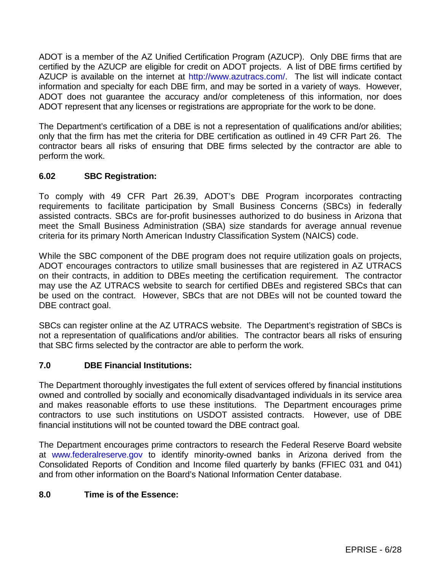ADOT is a member of the AZ Unified Certification Program (AZUCP). Only DBE firms that are certified by the AZUCP are eligible for credit on ADOT projects. A list of DBE firms certified by AZUCP is available on the internet at [http://www.azutracs.com/.](http://www.azutracs.com/) The list will indicate contact information and specialty for each DBE firm, and may be sorted in a variety of ways. However, ADOT does not guarantee the accuracy and/or completeness of this information, nor does ADOT represent that any licenses or registrations are appropriate for the work to be done.

The Department's certification of a DBE is not a representation of qualifications and/or abilities; only that the firm has met the criteria for DBE certification as outlined in 49 CFR Part 26. The contractor bears all risks of ensuring that DBE firms selected by the contractor are able to perform the work.

# **6.02 SBC Registration:**

To comply with 49 CFR Part 26.39, ADOT's DBE Program incorporates contracting requirements to facilitate participation by Small Business Concerns (SBCs) in federally assisted contracts. SBCs are for-profit businesses authorized to do business in Arizona that meet the Small Business Administration (SBA) size standards for average annual revenue criteria for its primary North American Industry Classification System (NAICS) code.

While the SBC component of the DBE program does not require utilization goals on projects, ADOT encourages contractors to utilize small businesses that are registered in AZ UTRACS on their contracts, in addition to DBEs meeting the certification requirement. The contractor may use the AZ UTRACS website to search for certified DBEs and registered SBCs that can be used on the contract. However, SBCs that are not DBEs will not be counted toward the DBE contract goal.

SBCs can register online at the AZ UTRACS website. The Department's registration of SBCs is not a representation of qualifications and/or abilities. The contractor bears all risks of ensuring that SBC firms selected by the contractor are able to perform the work.

# **7.0 DBE Financial Institutions:**

The Department thoroughly investigates the full extent of services offered by financial institutions owned and controlled by socially and economically disadvantaged individuals in its service area and makes reasonable efforts to use these institutions. The Department encourages prime contractors to use such institutions on USDOT assisted contracts. However, use of DBE financial institutions will not be counted toward the DBE contract goal.

The Department encourages prime contractors to research the Federal Reserve Board website at [www.federalreserve.gov](http://www.federalreserve.gov/) to identify minority-owned banks in Arizona derived from the Consolidated Reports of Condition and Income filed quarterly by banks (FFIEC 031 and 041) and from other information on the Board's National Information Center database.

# **8.0 Time is of the Essence:**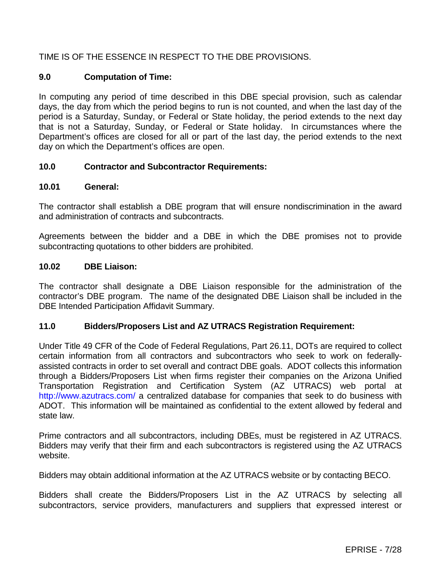# TIME IS OF THE ESSENCE IN RESPECT TO THE DBE PROVISIONS.

### **9.0 Computation of Time:**

In computing any period of time described in this DBE special provision, such as calendar days, the day from which the period begins to run is not counted, and when the last day of the period is a Saturday, Sunday, or Federal or State holiday, the period extends to the next day that is not a Saturday, Sunday, or Federal or State holiday. In circumstances where the Department's offices are closed for all or part of the last day, the period extends to the next day on which the Department's offices are open.

### **10.0 Contractor and Subcontractor Requirements:**

### **10.01 General:**

The contractor shall establish a DBE program that will ensure nondiscrimination in the award and administration of contracts and subcontracts.

Agreements between the bidder and a DBE in which the DBE promises not to provide subcontracting quotations to other bidders are prohibited.

### **10.02 DBE Liaison:**

The contractor shall designate a DBE Liaison responsible for the administration of the contractor's DBE program. The name of the designated DBE Liaison shall be included in the DBE Intended Participation Affidavit Summary.

#### **11.0 Bidders/Proposers List and AZ UTRACS Registration Requirement:**

Under Title 49 CFR of the Code of Federal Regulations, Part 26.11, DOTs are required to collect certain information from all contractors and subcontractors who seek to work on federallyassisted contracts in order to set overall and contract DBE goals. ADOT collects this information through a Bidders/Proposers List when firms register their companies on the Arizona Unified Transportation Registration and Certification System (AZ UTRACS) web portal at <http://www.azutracs.com/> a centralized database for companies that seek to do business with ADOT. This information will be maintained as confidential to the extent allowed by federal and state law.

Prime contractors and all subcontractors, including DBEs, must be registered in AZ UTRACS. Bidders may verify that their firm and each subcontractors is registered using the AZ UTRACS website.

Bidders may obtain additional information at the AZ UTRACS website or by contacting BECO.

Bidders shall create the Bidders/Proposers List in the AZ UTRACS by selecting all subcontractors, service providers, manufacturers and suppliers that expressed interest or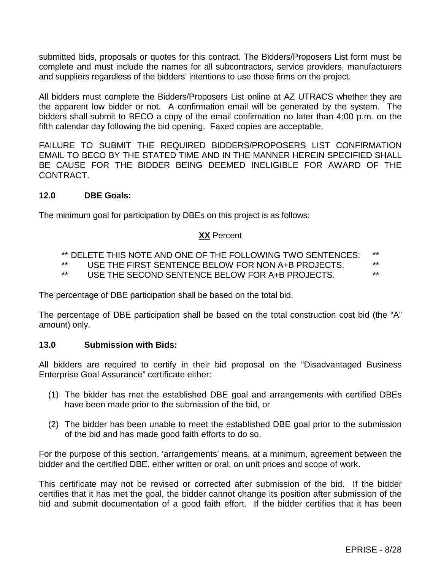submitted bids, proposals or quotes for this contract. The Bidders/Proposers List form must be complete and must include the names for all subcontractors, service providers, manufacturers and suppliers regardless of the bidders' intentions to use those firms on the project.

All bidders must complete the Bidders/Proposers List online at AZ UTRACS whether they are the apparent low bidder or not. A confirmation email will be generated by the system. The bidders shall submit to BECO a copy of the email confirmation no later than 4:00 p.m. on the fifth calendar day following the bid opening. Faxed copies are acceptable.

FAILURE TO SUBMIT THE REQUIRED BIDDERS/PROPOSERS LIST CONFIRMATION EMAIL TO BECO BY THE STATED TIME AND IN THE MANNER HEREIN SPECIFIED SHALL BE CAUSE FOR THE BIDDER BEING DEEMED INELIGIBLE FOR AWARD OF THE CONTRACT.

### **12.0 DBE Goals:**

The minimum goal for participation by DBEs on this project is as follows:

### **XX** Percent

- \*\* DELETE THIS NOTE AND ONE OF THE FOLLOWING TWO SENTENCES: \*\*<br>\*\* LISE THE FIRST SENTENCE RELOW FOR NON A JR RRO IECTS
- \*\* USE THE FIRST SENTENCE BELOW FOR NON A+B PROJECTS. \*\*
- USE THE SECOND SENTENCE BELOW FOR A+B PROJECTS.

The percentage of DBE participation shall be based on the total bid.

The percentage of DBE participation shall be based on the total construction cost bid (the "A" amount) only.

#### **13.0 Submission with Bids:**

All bidders are required to certify in their bid proposal on the "Disadvantaged Business Enterprise Goal Assurance" certificate either:

- (1) The bidder has met the established DBE goal and arrangements with certified DBEs have been made prior to the submission of the bid, or
- (2) The bidder has been unable to meet the established DBE goal prior to the submission of the bid and has made good faith efforts to do so.

For the purpose of this section, 'arrangements' means, at a minimum, agreement between the bidder and the certified DBE, either written or oral, on unit prices and scope of work.

This certificate may not be revised or corrected after submission of the bid. If the bidder certifies that it has met the goal, the bidder cannot change its position after submission of the bid and submit documentation of a good faith effort. If the bidder certifies that it has been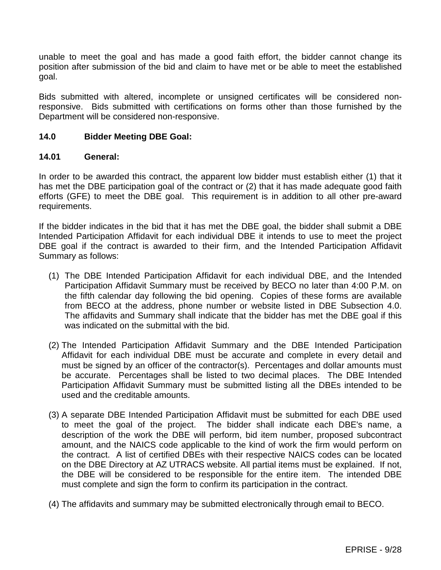unable to meet the goal and has made a good faith effort, the bidder cannot change its position after submission of the bid and claim to have met or be able to meet the established goal.

Bids submitted with altered, incomplete or unsigned certificates will be considered nonresponsive. Bids submitted with certifications on forms other than those furnished by the Department will be considered non-responsive.

### **14.0 Bidder Meeting DBE Goal:**

### **14.01 General:**

In order to be awarded this contract, the apparent low bidder must establish either (1) that it has met the DBE participation goal of the contract or (2) that it has made adequate good faith efforts (GFE) to meet the DBE goal. This requirement is in addition to all other pre-award requirements.

If the bidder indicates in the bid that it has met the DBE goal, the bidder shall submit a DBE Intended Participation Affidavit for each individual DBE it intends to use to meet the project DBE goal if the contract is awarded to their firm, and the Intended Participation Affidavit Summary as follows:

- (1) The DBE Intended Participation Affidavit for each individual DBE, and the Intended Participation Affidavit Summary must be received by BECO no later than 4:00 P.M. on the fifth calendar day following the bid opening. Copies of these forms are available from BECO at the address, phone number or website listed in DBE Subsection 4.0. The affidavits and Summary shall indicate that the bidder has met the DBE goal if this was indicated on the submittal with the bid.
- (2) The Intended Participation Affidavit Summary and the DBE Intended Participation Affidavit for each individual DBE must be accurate and complete in every detail and must be signed by an officer of the contractor(s). Percentages and dollar amounts must be accurate. Percentages shall be listed to two decimal places. The DBE Intended Participation Affidavit Summary must be submitted listing all the DBEs intended to be used and the creditable amounts.
- (3) A separate DBE Intended Participation Affidavit must be submitted for each DBE used to meet the goal of the project. The bidder shall indicate each DBE's name, a description of the work the DBE will perform, bid item number, proposed subcontract amount, and the NAICS code applicable to the kind of work the firm would perform on the contract. A list of certified DBEs with their respective NAICS codes can be located on the DBE Directory at AZ UTRACS website. All partial items must be explained. If not, the DBE will be considered to be responsible for the entire item. The intended DBE must complete and sign the form to confirm its participation in the contract.
- (4) The affidavits and summary may be submitted electronically through email to BECO.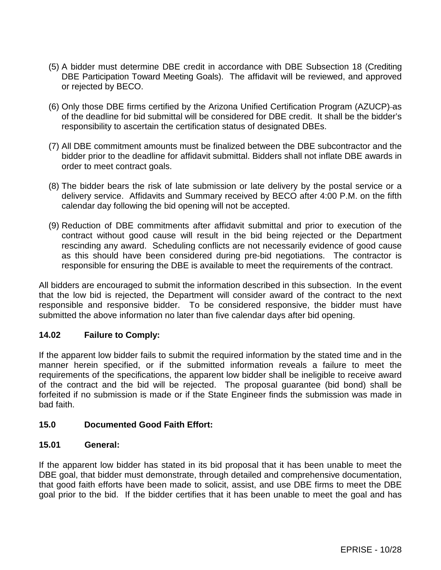- (5) A bidder must determine DBE credit in accordance with DBE Subsection 18 (Crediting DBE Participation Toward Meeting Goals). The affidavit will be reviewed, and approved or rejected by BECO.
- (6) Only those DBE firms certified by the Arizona Unified Certification Program (AZUCP) as of the deadline for bid submittal will be considered for DBE credit. It shall be the bidder's responsibility to ascertain the certification status of designated DBEs.
- (7) All DBE commitment amounts must be finalized between the DBE subcontractor and the bidder prior to the deadline for affidavit submittal. Bidders shall not inflate DBE awards in order to meet contract goals.
- (8) The bidder bears the risk of late submission or late delivery by the postal service or a delivery service. Affidavits and Summary received by BECO after 4:00 P.M. on the fifth calendar day following the bid opening will not be accepted.
- (9) Reduction of DBE commitments after affidavit submittal and prior to execution of the contract without good cause will result in the bid being rejected or the Department rescinding any award. Scheduling conflicts are not necessarily evidence of good cause as this should have been considered during pre-bid negotiations. The contractor is responsible for ensuring the DBE is available to meet the requirements of the contract.

All bidders are encouraged to submit the information described in this subsection. In the event that the low bid is rejected, the Department will consider award of the contract to the next responsible and responsive bidder. To be considered responsive, the bidder must have submitted the above information no later than five calendar days after bid opening.

# **14.02 Failure to Comply:**

If the apparent low bidder fails to submit the required information by the stated time and in the manner herein specified, or if the submitted information reveals a failure to meet the requirements of the specifications, the apparent low bidder shall be ineligible to receive award of the contract and the bid will be rejected. The proposal guarantee (bid bond) shall be forfeited if no submission is made or if the State Engineer finds the submission was made in bad faith.

### **15.0 Documented Good Faith Effort:**

### **15.01 General:**

If the apparent low bidder has stated in its bid proposal that it has been unable to meet the DBE goal, that bidder must demonstrate, through detailed and comprehensive documentation, that good faith efforts have been made to solicit, assist, and use DBE firms to meet the DBE goal prior to the bid. If the bidder certifies that it has been unable to meet the goal and has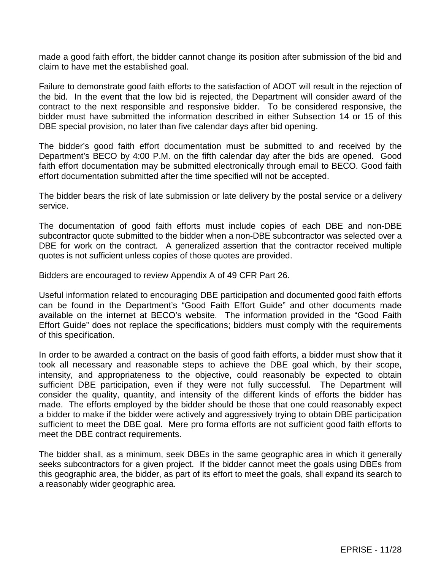made a good faith effort, the bidder cannot change its position after submission of the bid and claim to have met the established goal.

Failure to demonstrate good faith efforts to the satisfaction of ADOT will result in the rejection of the bid. In the event that the low bid is rejected, the Department will consider award of the contract to the next responsible and responsive bidder. To be considered responsive, the bidder must have submitted the information described in either Subsection 14 or 15 of this DBE special provision, no later than five calendar days after bid opening.

The bidder's good faith effort documentation must be submitted to and received by the Department's BECO by 4:00 P.M. on the fifth calendar day after the bids are opened. Good faith effort documentation may be submitted electronically through email to BECO. Good faith effort documentation submitted after the time specified will not be accepted.

The bidder bears the risk of late submission or late delivery by the postal service or a delivery service.

The documentation of good faith efforts must include copies of each DBE and non-DBE subcontractor quote submitted to the bidder when a non-DBE subcontractor was selected over a DBE for work on the contract. A generalized assertion that the contractor received multiple quotes is not sufficient unless copies of those quotes are provided.

Bidders are encouraged to review Appendix A of 49 CFR Part 26.

Useful information related to encouraging DBE participation and documented good faith efforts can be found in the Department's "Good Faith Effort Guide" and other documents made available on the internet at BECO's website. The information provided in the "Good Faith Effort Guide" does not replace the specifications; bidders must comply with the requirements of this specification.

In order to be awarded a contract on the basis of good faith efforts, a bidder must show that it took all necessary and reasonable steps to achieve the DBE goal which, by their scope, intensity, and appropriateness to the objective, could reasonably be expected to obtain sufficient DBE participation, even if they were not fully successful. The Department will consider the quality, quantity, and intensity of the different kinds of efforts the bidder has made. The efforts employed by the bidder should be those that one could reasonably expect a bidder to make if the bidder were actively and aggressively trying to obtain DBE participation sufficient to meet the DBE goal. Mere pro forma efforts are not sufficient good faith efforts to meet the DBE contract requirements.

The bidder shall, as a minimum, seek DBEs in the same geographic area in which it generally seeks subcontractors for a given project. If the bidder cannot meet the goals using DBEs from this geographic area, the bidder, as part of its effort to meet the goals, shall expand its search to a reasonably wider geographic area.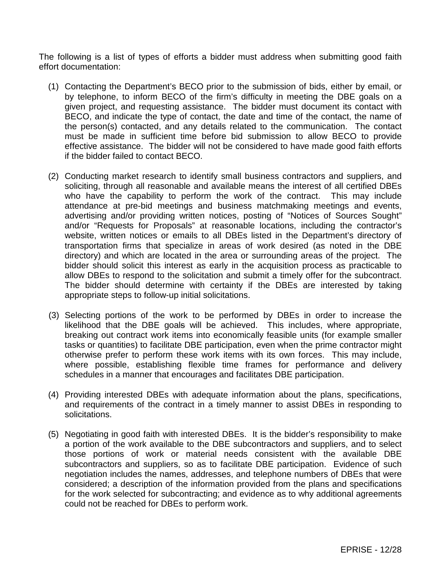The following is a list of types of efforts a bidder must address when submitting good faith effort documentation:

- (1) Contacting the Department's BECO prior to the submission of bids, either by email, or by telephone, to inform BECO of the firm's difficulty in meeting the DBE goals on a given project, and requesting assistance. The bidder must document its contact with BECO, and indicate the type of contact, the date and time of the contact, the name of the person(s) contacted, and any details related to the communication. The contact must be made in sufficient time before bid submission to allow BECO to provide effective assistance. The bidder will not be considered to have made good faith efforts if the bidder failed to contact BECO.
- (2) Conducting market research to identify small business contractors and suppliers, and soliciting, through all reasonable and available means the interest of all certified DBEs who have the capability to perform the work of the contract. This may include attendance at pre-bid meetings and business matchmaking meetings and events, advertising and/or providing written notices, posting of "Notices of Sources Sought" and/or "Requests for Proposals" at reasonable locations, including the contractor's website, written notices or emails to all DBEs listed in the Department's directory of transportation firms that specialize in areas of work desired (as noted in the DBE directory) and which are located in the area or surrounding areas of the project. The bidder should solicit this interest as early in the acquisition process as practicable to allow DBEs to respond to the solicitation and submit a timely offer for the subcontract. The bidder should determine with certainty if the DBEs are interested by taking appropriate steps to follow-up initial solicitations.
- (3) Selecting portions of the work to be performed by DBEs in order to increase the likelihood that the DBE goals will be achieved. This includes, where appropriate, breaking out contract work items into economically feasible units (for example smaller tasks or quantities) to facilitate DBE participation, even when the prime contractor might otherwise prefer to perform these work items with its own forces. This may include, where possible, establishing flexible time frames for performance and delivery schedules in a manner that encourages and facilitates DBE participation.
- (4) Providing interested DBEs with adequate information about the plans, specifications, and requirements of the contract in a timely manner to assist DBEs in responding to solicitations.
- (5) Negotiating in good faith with interested DBEs. It is the bidder's responsibility to make a portion of the work available to the DBE subcontractors and suppliers, and to select those portions of work or material needs consistent with the available DBE subcontractors and suppliers, so as to facilitate DBE participation. Evidence of such negotiation includes the names, addresses, and telephone numbers of DBEs that were considered; a description of the information provided from the plans and specifications for the work selected for subcontracting; and evidence as to why additional agreements could not be reached for DBEs to perform work.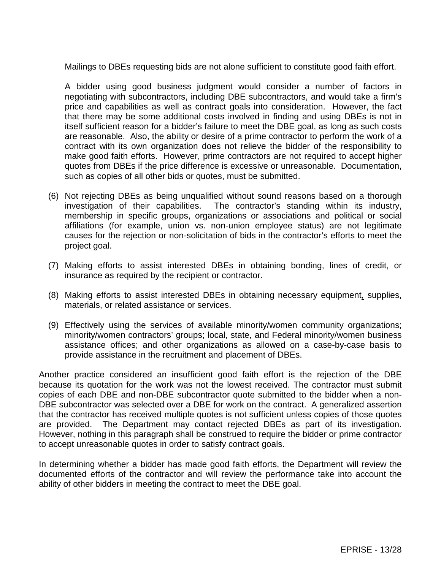Mailings to DBEs requesting bids are not alone sufficient to constitute good faith effort.

A bidder using good business judgment would consider a number of factors in negotiating with subcontractors, including DBE subcontractors, and would take a firm's price and capabilities as well as contract goals into consideration. However, the fact that there may be some additional costs involved in finding and using DBEs is not in itself sufficient reason for a bidder's failure to meet the DBE goal, as long as such costs are reasonable. Also, the ability or desire of a prime contractor to perform the work of a contract with its own organization does not relieve the bidder of the responsibility to make good faith efforts. However, prime contractors are not required to accept higher quotes from DBEs if the price difference is excessive or unreasonable. Documentation, such as copies of all other bids or quotes, must be submitted.

- (6) Not rejecting DBEs as being unqualified without sound reasons based on a thorough investigation of their capabilities. The contractor's standing within its industry, membership in specific groups, organizations or associations and political or social affiliations (for example, union vs. non-union employee status) are not legitimate causes for the rejection or non-solicitation of bids in the contractor's efforts to meet the project goal.
- (7) Making efforts to assist interested DBEs in obtaining bonding, lines of credit, or insurance as required by the recipient or contractor.
- (8) Making efforts to assist interested DBEs in obtaining necessary equipment, supplies, materials, or related assistance or services.
- (9) Effectively using the services of available minority/women community organizations; minority/women contractors' groups; local, state, and Federal minority/women business assistance offices; and other organizations as allowed on a case-by-case basis to provide assistance in the recruitment and placement of DBEs.

Another practice considered an insufficient good faith effort is the rejection of the DBE because its quotation for the work was not the lowest received. The contractor must submit copies of each DBE and non-DBE subcontractor quote submitted to the bidder when a non-DBE subcontractor was selected over a DBE for work on the contract. A generalized assertion that the contractor has received multiple quotes is not sufficient unless copies of those quotes are provided. The Department may contact rejected DBEs as part of its investigation. However, nothing in this paragraph shall be construed to require the bidder or prime contractor to accept unreasonable quotes in order to satisfy contract goals.

In determining whether a bidder has made good faith efforts, the Department will review the documented efforts of the contractor and will review the performance take into account the ability of other bidders in meeting the contract to meet the DBE goal.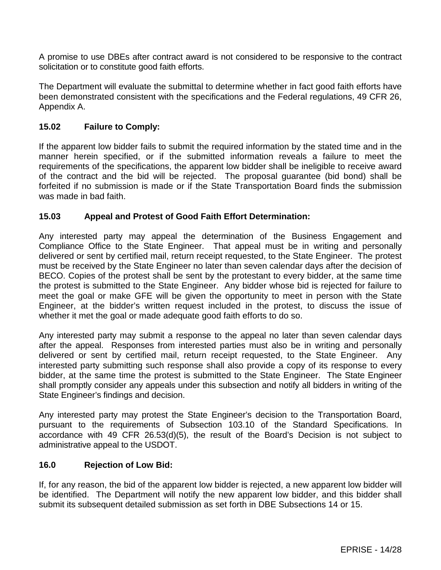A promise to use DBEs after contract award is not considered to be responsive to the contract solicitation or to constitute good faith efforts.

The Department will evaluate the submittal to determine whether in fact good faith efforts have been demonstrated consistent with the specifications and the Federal regulations, 49 CFR 26, Appendix A.

## **15.02 Failure to Comply:**

If the apparent low bidder fails to submit the required information by the stated time and in the manner herein specified, or if the submitted information reveals a failure to meet the requirements of the specifications, the apparent low bidder shall be ineligible to receive award of the contract and the bid will be rejected. The proposal guarantee (bid bond) shall be forfeited if no submission is made or if the State Transportation Board finds the submission was made in bad faith.

### **15.03 Appeal and Protest of Good Faith Effort Determination:**

Any interested party may appeal the determination of the Business Engagement and Compliance Office to the State Engineer. That appeal must be in writing and personally delivered or sent by certified mail, return receipt requested, to the State Engineer. The protest must be received by the State Engineer no later than seven calendar days after the decision of BECO. Copies of the protest shall be sent by the protestant to every bidder, at the same time the protest is submitted to the State Engineer. Any bidder whose bid is rejected for failure to meet the goal or make GFE will be given the opportunity to meet in person with the State Engineer, at the bidder's written request included in the protest, to discuss the issue of whether it met the goal or made adequate good faith efforts to do so.

Any interested party may submit a response to the appeal no later than seven calendar days after the appeal. Responses from interested parties must also be in writing and personally delivered or sent by certified mail, return receipt requested, to the State Engineer. Any interested party submitting such response shall also provide a copy of its response to every bidder, at the same time the protest is submitted to the State Engineer. The State Engineer shall promptly consider any appeals under this subsection and notify all bidders in writing of the State Engineer's findings and decision.

Any interested party may protest the State Engineer's decision to the Transportation Board, pursuant to the requirements of Subsection 103.10 of the Standard Specifications. In accordance with 49 CFR 26.53(d)(5), the result of the Board's Decision is not subject to administrative appeal to the USDOT.

### **16.0 Rejection of Low Bid:**

If, for any reason, the bid of the apparent low bidder is rejected, a new apparent low bidder will be identified. The Department will notify the new apparent low bidder, and this bidder shall submit its subsequent detailed submission as set forth in DBE Subsections 14 or 15.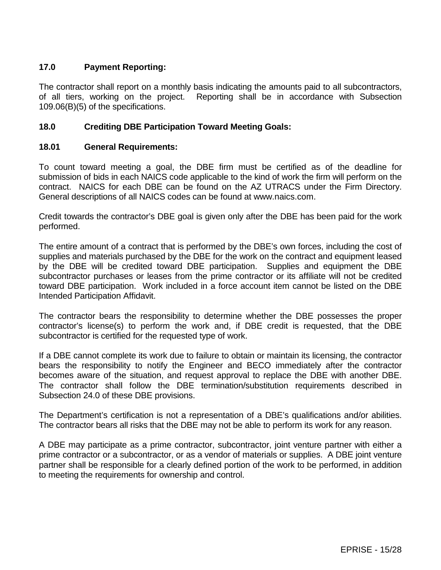# **17.0 Payment Reporting:**

The contractor shall report on a monthly basis indicating the amounts paid to all subcontractors, of all tiers, working on the project. Reporting shall be in accordance with Subsection 109.06(B)(5) of the specifications.

## **18.0 Crediting DBE Participation Toward Meeting Goals:**

## **18.01 General Requirements:**

To count toward meeting a goal, the DBE firm must be certified as of the deadline for submission of bids in each NAICS code applicable to the kind of work the firm will perform on the contract. NAICS for each DBE can be found on the AZ UTRACS under the Firm Directory. General descriptions of all NAICS codes can be found at www.naics.com.

Credit towards the contractor's DBE goal is given only after the DBE has been paid for the work performed.

The entire amount of a contract that is performed by the DBE's own forces, including the cost of supplies and materials purchased by the DBE for the work on the contract and equipment leased by the DBE will be credited toward DBE participation. Supplies and equipment the DBE subcontractor purchases or leases from the prime contractor or its affiliate will not be credited toward DBE participation. Work included in a force account item cannot be listed on the DBE Intended Participation Affidavit.

The contractor bears the responsibility to determine whether the DBE possesses the proper contractor's license(s) to perform the work and, if DBE credit is requested, that the DBE subcontractor is certified for the requested type of work.

If a DBE cannot complete its work due to failure to obtain or maintain its licensing, the contractor bears the responsibility to notify the Engineer and BECO immediately after the contractor becomes aware of the situation, and request approval to replace the DBE with another DBE. The contractor shall follow the DBE termination/substitution requirements described in Subsection 24.0 of these DBE provisions.

The Department's certification is not a representation of a DBE's qualifications and/or abilities. The contractor bears all risks that the DBE may not be able to perform its work for any reason.

A DBE may participate as a prime contractor, subcontractor, joint venture partner with either a prime contractor or a subcontractor, or as a vendor of materials or supplies. A DBE joint venture partner shall be responsible for a clearly defined portion of the work to be performed, in addition to meeting the requirements for ownership and control.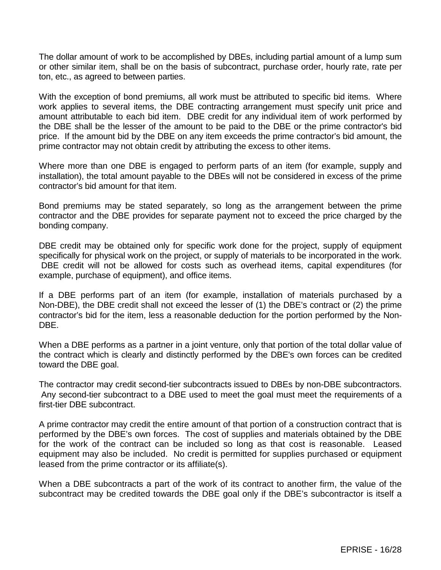The dollar amount of work to be accomplished by DBEs, including partial amount of a lump sum or other similar item, shall be on the basis of subcontract, purchase order, hourly rate, rate per ton, etc., as agreed to between parties.

With the exception of bond premiums, all work must be attributed to specific bid items. Where work applies to several items, the DBE contracting arrangement must specify unit price and amount attributable to each bid item. DBE credit for any individual item of work performed by the DBE shall be the lesser of the amount to be paid to the DBE or the prime contractor's bid price. If the amount bid by the DBE on any item exceeds the prime contractor's bid amount, the prime contractor may not obtain credit by attributing the excess to other items.

Where more than one DBE is engaged to perform parts of an item (for example, supply and installation), the total amount payable to the DBEs will not be considered in excess of the prime contractor's bid amount for that item.

Bond premiums may be stated separately, so long as the arrangement between the prime contractor and the DBE provides for separate payment not to exceed the price charged by the bonding company.

DBE credit may be obtained only for specific work done for the project, supply of equipment specifically for physical work on the project, or supply of materials to be incorporated in the work. DBE credit will not be allowed for costs such as overhead items, capital expenditures (for example, purchase of equipment), and office items.

If a DBE performs part of an item (for example, installation of materials purchased by a Non-DBE), the DBE credit shall not exceed the lesser of (1) the DBE's contract or (2) the prime contractor's bid for the item, less a reasonable deduction for the portion performed by the Non-DBE.

When a DBE performs as a partner in a joint venture, only that portion of the total dollar value of the contract which is clearly and distinctly performed by the DBE's own forces can be credited toward the DBE goal.

The contractor may credit second-tier subcontracts issued to DBEs by non-DBE subcontractors. Any second-tier subcontract to a DBE used to meet the goal must meet the requirements of a first-tier DBE subcontract.

A prime contractor may credit the entire amount of that portion of a construction contract that is performed by the DBE's own forces. The cost of supplies and materials obtained by the DBE for the work of the contract can be included so long as that cost is reasonable. Leased equipment may also be included. No credit is permitted for supplies purchased or equipment leased from the prime contractor or its affiliate(s).

When a DBE subcontracts a part of the work of its contract to another firm, the value of the subcontract may be credited towards the DBE goal only if the DBE's subcontractor is itself a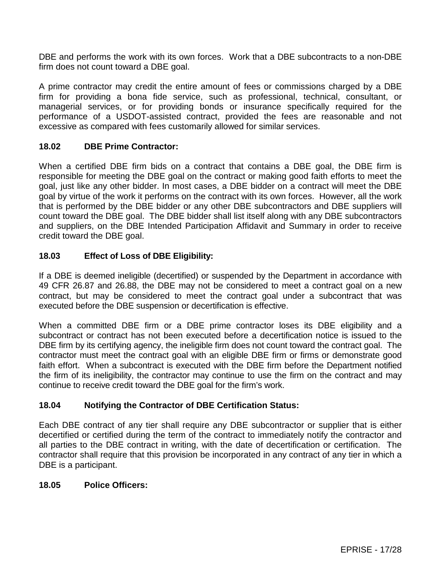DBE and performs the work with its own forces. Work that a DBE subcontracts to a non-DBE firm does not count toward a DBE goal.

A prime contractor may credit the entire amount of fees or commissions charged by a DBE firm for providing a bona fide service, such as professional, technical, consultant, or managerial services, or for providing bonds or insurance specifically required for the performance of a USDOT-assisted contract, provided the fees are reasonable and not excessive as compared with fees customarily allowed for similar services.

### **18.02 DBE Prime Contractor:**

When a certified DBE firm bids on a contract that contains a DBE goal, the DBE firm is responsible for meeting the DBE goal on the contract or making good faith efforts to meet the goal, just like any other bidder. In most cases, a DBE bidder on a contract will meet the DBE goal by virtue of the work it performs on the contract with its own forces. However, all the work that is performed by the DBE bidder or any other DBE subcontractors and DBE suppliers will count toward the DBE goal. The DBE bidder shall list itself along with any DBE subcontractors and suppliers, on the DBE Intended Participation Affidavit and Summary in order to receive credit toward the DBE goal.

### **18.03 Effect of Loss of DBE Eligibility:**

If a DBE is deemed ineligible (decertified) or suspended by the Department in accordance with 49 CFR 26.87 and 26.88, the DBE may not be considered to meet a contract goal on a new contract, but may be considered to meet the contract goal under a subcontract that was executed before the DBE suspension or decertification is effective.

When a committed DBE firm or a DBE prime contractor loses its DBE eligibility and a subcontract or contract has not been executed before a decertification notice is issued to the DBE firm by its certifying agency, the ineligible firm does not count toward the contract goal. The contractor must meet the contract goal with an eligible DBE firm or firms or demonstrate good faith effort. When a subcontract is executed with the DBE firm before the Department notified the firm of its ineligibility, the contractor may continue to use the firm on the contract and may continue to receive credit toward the DBE goal for the firm's work.

### **18.04 Notifying the Contractor of DBE Certification Status:**

Each DBE contract of any tier shall require any DBE subcontractor or supplier that is either decertified or certified during the term of the contract to immediately notify the contractor and all parties to the DBE contract in writing, with the date of decertification or certification. The contractor shall require that this provision be incorporated in any contract of any tier in which a DBE is a participant.

### **18.05 Police Officers:**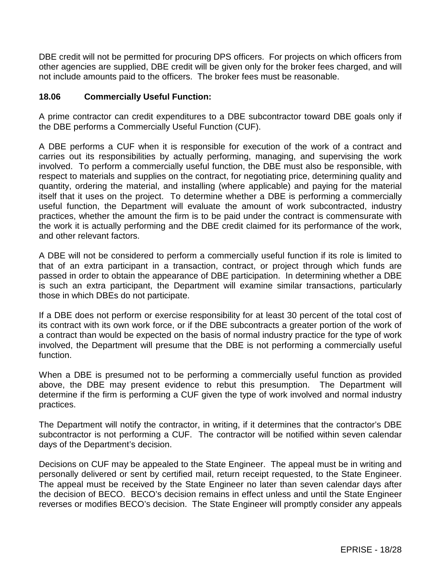DBE credit will not be permitted for procuring DPS officers. For projects on which officers from other agencies are supplied, DBE credit will be given only for the broker fees charged, and will not include amounts paid to the officers. The broker fees must be reasonable.

## **18.06 Commercially Useful Function:**

A prime contractor can credit expenditures to a DBE subcontractor toward DBE goals only if the DBE performs a Commercially Useful Function (CUF).

A DBE performs a CUF when it is responsible for execution of the work of a contract and carries out its responsibilities by actually performing, managing, and supervising the work involved. To perform a commercially useful function, the DBE must also be responsible, with respect to materials and supplies on the contract, for negotiating price, determining quality and quantity, ordering the material, and installing (where applicable) and paying for the material itself that it uses on the project. To determine whether a DBE is performing a commercially useful function, the Department will evaluate the amount of work subcontracted, industry practices, whether the amount the firm is to be paid under the contract is commensurate with the work it is actually performing and the DBE credit claimed for its performance of the work, and other relevant factors.

A DBE will not be considered to perform a commercially useful function if its role is limited to that of an extra participant in a transaction, contract, or project through which funds are passed in order to obtain the appearance of DBE participation. In determining whether a DBE is such an extra participant, the Department will examine similar transactions, particularly those in which DBEs do not participate.

If a DBE does not perform or exercise responsibility for at least 30 percent of the total cost of its contract with its own work force, or if the DBE subcontracts a greater portion of the work of a contract than would be expected on the basis of normal industry practice for the type of work involved, the Department will presume that the DBE is not performing a commercially useful function.

When a DBE is presumed not to be performing a commercially useful function as provided above, the DBE may present evidence to rebut this presumption. The Department will determine if the firm is performing a CUF given the type of work involved and normal industry practices.

The Department will notify the contractor, in writing, if it determines that the contractor's DBE subcontractor is not performing a CUF. The contractor will be notified within seven calendar days of the Department's decision.

Decisions on CUF may be appealed to the State Engineer. The appeal must be in writing and personally delivered or sent by certified mail, return receipt requested, to the State Engineer. The appeal must be received by the State Engineer no later than seven calendar days after the decision of BECO. BECO's decision remains in effect unless and until the State Engineer reverses or modifies BECO's decision. The State Engineer will promptly consider any appeals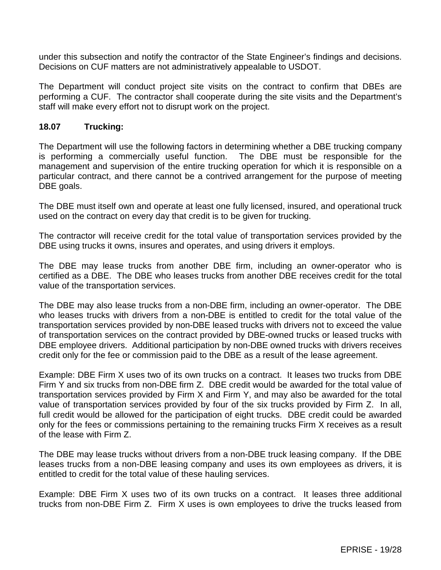under this subsection and notify the contractor of the State Engineer's findings and decisions. Decisions on CUF matters are not administratively appealable to USDOT.

The Department will conduct project site visits on the contract to confirm that DBEs are performing a CUF. The contractor shall cooperate during the site visits and the Department's staff will make every effort not to disrupt work on the project.

### **18.07 Trucking:**

The Department will use the following factors in determining whether a DBE trucking company is performing a commercially useful function. The DBE must be responsible for the management and supervision of the entire trucking operation for which it is responsible on a particular contract, and there cannot be a contrived arrangement for the purpose of meeting DBE goals.

The DBE must itself own and operate at least one fully licensed, insured, and operational truck used on the contract on every day that credit is to be given for trucking.

The contractor will receive credit for the total value of transportation services provided by the DBE using trucks it owns, insures and operates, and using drivers it employs.

The DBE may lease trucks from another DBE firm, including an owner-operator who is certified as a DBE. The DBE who leases trucks from another DBE receives credit for the total value of the transportation services.

The DBE may also lease trucks from a non-DBE firm, including an owner-operator. The DBE who leases trucks with drivers from a non-DBE is entitled to credit for the total value of the transportation services provided by non-DBE leased trucks with drivers not to exceed the value of transportation services on the contract provided by DBE-owned trucks or leased trucks with DBE employee drivers. Additional participation by non-DBE owned trucks with drivers receives credit only for the fee or commission paid to the DBE as a result of the lease agreement.

Example: DBE Firm X uses two of its own trucks on a contract. It leases two trucks from DBE Firm Y and six trucks from non-DBE firm Z. DBE credit would be awarded for the total value of transportation services provided by Firm X and Firm Y, and may also be awarded for the total value of transportation services provided by four of the six trucks provided by Firm Z. In all, full credit would be allowed for the participation of eight trucks. DBE credit could be awarded only for the fees or commissions pertaining to the remaining trucks Firm X receives as a result of the lease with Firm Z.

The DBE may lease trucks without drivers from a non-DBE truck leasing company. If the DBE leases trucks from a non-DBE leasing company and uses its own employees as drivers, it is entitled to credit for the total value of these hauling services.

Example: DBE Firm X uses two of its own trucks on a contract. It leases three additional trucks from non-DBE Firm Z. Firm X uses is own employees to drive the trucks leased from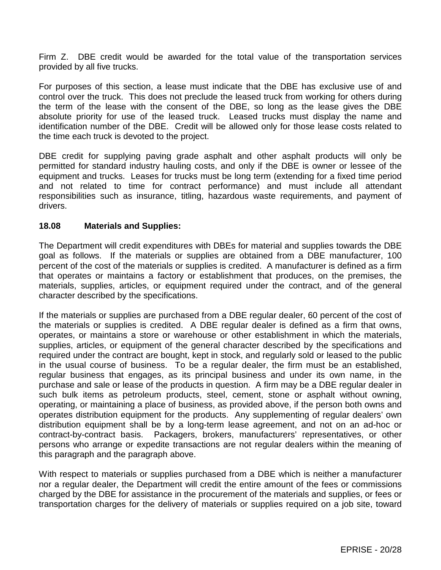Firm Z. DBE credit would be awarded for the total value of the transportation services provided by all five trucks.

For purposes of this section, a lease must indicate that the DBE has exclusive use of and control over the truck. This does not preclude the leased truck from working for others during the term of the lease with the consent of the DBE, so long as the lease gives the DBE absolute priority for use of the leased truck. Leased trucks must display the name and identification number of the DBE. Credit will be allowed only for those lease costs related to the time each truck is devoted to the project.

DBE credit for supplying paving grade asphalt and other asphalt products will only be permitted for standard industry hauling costs, and only if the DBE is owner or lessee of the equipment and trucks. Leases for trucks must be long term (extending for a fixed time period and not related to time for contract performance) and must include all attendant responsibilities such as insurance, titling, hazardous waste requirements, and payment of drivers.

## **18.08 Materials and Supplies:**

The Department will credit expenditures with DBEs for material and supplies towards the DBE goal as follows. If the materials or supplies are obtained from a DBE manufacturer, 100 percent of the cost of the materials or supplies is credited. A manufacturer is defined as a firm that operates or maintains a factory or establishment that produces, on the premises, the materials, supplies, articles, or equipment required under the contract, and of the general character described by the specifications.

If the materials or supplies are purchased from a DBE regular dealer, 60 percent of the cost of the materials or supplies is credited. A DBE regular dealer is defined as a firm that owns, operates, or maintains a store or warehouse or other establishment in which the materials, supplies, articles, or equipment of the general character described by the specifications and required under the contract are bought, kept in stock, and regularly sold or leased to the public in the usual course of business. To be a regular dealer, the firm must be an established, regular business that engages, as its principal business and under its own name, in the purchase and sale or lease of the products in question. A firm may be a DBE regular dealer in such bulk items as petroleum products, steel, cement, stone or asphalt without owning, operating, or maintaining a place of business, as provided above, if the person both owns and operates distribution equipment for the products. Any supplementing of regular dealers' own distribution equipment shall be by a long-term lease agreement, and not on an ad-hoc or contract-by-contract basis. Packagers, brokers, manufacturers' representatives, or other persons who arrange or expedite transactions are not regular dealers within the meaning of this paragraph and the paragraph above.

With respect to materials or supplies purchased from a DBE which is neither a manufacturer nor a regular dealer, the Department will credit the entire amount of the fees or commissions charged by the DBE for assistance in the procurement of the materials and supplies, or fees or transportation charges for the delivery of materials or supplies required on a job site, toward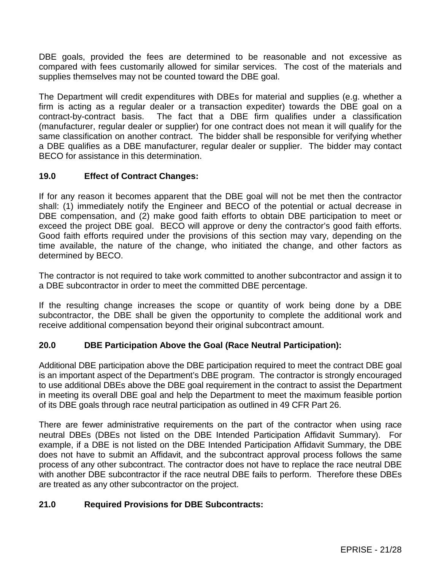DBE goals, provided the fees are determined to be reasonable and not excessive as compared with fees customarily allowed for similar services. The cost of the materials and supplies themselves may not be counted toward the DBE goal.

The Department will credit expenditures with DBEs for material and supplies (e.g. whether a firm is acting as a regular dealer or a transaction expediter) towards the DBE goal on a contract-by-contract basis. The fact that a DBE firm qualifies under a classification (manufacturer, regular dealer or supplier) for one contract does not mean it will qualify for the same classification on another contract. The bidder shall be responsible for verifying whether a DBE qualifies as a DBE manufacturer, regular dealer or supplier. The bidder may contact BECO for assistance in this determination.

# **19.0 Effect of Contract Changes:**

If for any reason it becomes apparent that the DBE goal will not be met then the contractor shall: (1) immediately notify the Engineer and BECO of the potential or actual decrease in DBE compensation, and (2) make good faith efforts to obtain DBE participation to meet or exceed the project DBE goal. BECO will approve or deny the contractor's good faith efforts. Good faith efforts required under the provisions of this section may vary, depending on the time available, the nature of the change, who initiated the change, and other factors as determined by BECO.

The contractor is not required to take work committed to another subcontractor and assign it to a DBE subcontractor in order to meet the committed DBE percentage.

If the resulting change increases the scope or quantity of work being done by a DBE subcontractor, the DBE shall be given the opportunity to complete the additional work and receive additional compensation beyond their original subcontract amount.

# **20.0 DBE Participation Above the Goal (Race Neutral Participation):**

Additional DBE participation above the DBE participation required to meet the contract DBE goal is an important aspect of the Department's DBE program. The contractor is strongly encouraged to use additional DBEs above the DBE goal requirement in the contract to assist the Department in meeting its overall DBE goal and help the Department to meet the maximum feasible portion of its DBE goals through race neutral participation as outlined in 49 CFR Part 26.

There are fewer administrative requirements on the part of the contractor when using race neutral DBEs (DBEs not listed on the DBE Intended Participation Affidavit Summary). For example, if a DBE is not listed on the DBE Intended Participation Affidavit Summary, the DBE does not have to submit an Affidavit, and the subcontract approval process follows the same process of any other subcontract. The contractor does not have to replace the race neutral DBE with another DBE subcontractor if the race neutral DBE fails to perform. Therefore these DBEs are treated as any other subcontractor on the project.

# **21.0 Required Provisions for DBE Subcontracts:**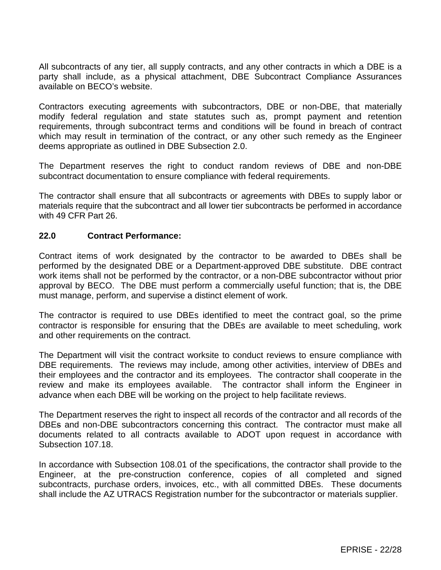All subcontracts of any tier, all supply contracts, and any other contracts in which a DBE is a party shall include, as a physical attachment, DBE Subcontract Compliance Assurances available on BECO's website.

Contractors executing agreements with subcontractors, DBE or non-DBE, that materially modify federal regulation and state statutes such as, prompt payment and retention requirements, through subcontract terms and conditions will be found in breach of contract which may result in termination of the contract, or any other such remedy as the Engineer deems appropriate as outlined in DBE Subsection 2.0.

The Department reserves the right to conduct random reviews of DBE and non-DBE subcontract documentation to ensure compliance with federal requirements.

The contractor shall ensure that all subcontracts or agreements with DBEs to supply labor or materials require that the subcontract and all lower tier subcontracts be performed in accordance with 49 CFR Part 26.

### **22.0 Contract Performance:**

Contract items of work designated by the contractor to be awarded to DBEs shall be performed by the designated DBE or a Department-approved DBE substitute. DBE contract work items shall not be performed by the contractor, or a non-DBE subcontractor without prior approval by BECO. The DBE must perform a commercially useful function; that is, the DBE must manage, perform, and supervise a distinct element of work.

The contractor is required to use DBEs identified to meet the contract goal, so the prime contractor is responsible for ensuring that the DBEs are available to meet scheduling, work and other requirements on the contract.

The Department will visit the contract worksite to conduct reviews to ensure compliance with DBE requirements. The reviews may include, among other activities, interview of DBEs and their employees and the contractor and its employees. The contractor shall cooperate in the review and make its employees available. The contractor shall inform the Engineer in advance when each DBE will be working on the project to help facilitate reviews.

The Department reserves the right to inspect all records of the contractor and all records of the DBE<sub>s</sub> and non-DBE subcontractors concerning this contract. The contractor must make all documents related to all contracts available to ADOT upon request in accordance with Subsection 107.18.

In accordance with Subsection 108.01 of the specifications, the contractor shall provide to the Engineer, at the pre-construction conference, copies of all completed and signed subcontracts, purchase orders, invoices, etc., with all committed DBEs. These documents shall include the AZ UTRACS Registration number for the subcontractor or materials supplier.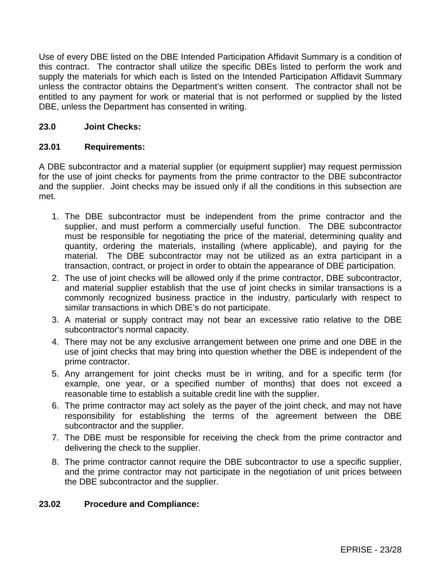Use of every DBE listed on the DBE Intended Participation Affidavit Summary is a condition of this contract. The contractor shall utilize the specific DBEs listed to perform the work and supply the materials for which each is listed on the Intended Participation Affidavit Summary unless the contractor obtains the Department's written consent. The contractor shall not be entitled to any payment for work or material that is not performed or supplied by the listed DBE, unless the Department has consented in writing.

## **23.0 Joint Checks:**

### **23.01 Requirements:**

A DBE subcontractor and a material supplier (or equipment supplier) may request permission for the use of joint checks for payments from the prime contractor to the DBE subcontractor and the supplier. Joint checks may be issued only if all the conditions in this subsection are met.

- 1. The DBE subcontractor must be independent from the prime contractor and the supplier, and must perform a commercially useful function. The DBE subcontractor must be responsible for negotiating the price of the material, determining quality and quantity, ordering the materials, installing (where applicable), and paying for the material. The DBE subcontractor may not be utilized as an extra participant in a transaction, contract, or project in order to obtain the appearance of DBE participation.
- 2. The use of joint checks will be allowed only if the prime contractor, DBE subcontractor, and material supplier establish that the use of joint checks in similar transactions is a commonly recognized business practice in the industry, particularly with respect to similar transactions in which DBE's do not participate.
- 3. A material or supply contract may not bear an excessive ratio relative to the DBE subcontractor's normal capacity.
- 4. There may not be any exclusive arrangement between one prime and one DBE in the use of joint checks that may bring into question whether the DBE is independent of the prime contractor.
- 5. Any arrangement for joint checks must be in writing, and for a specific term (for example, one year, or a specified number of months) that does not exceed a reasonable time to establish a suitable credit line with the supplier.
- 6. The prime contractor may act solely as the payer of the joint check, and may not have responsibility for establishing the terms of the agreement between the DBE subcontractor and the supplier.
- 7. The DBE must be responsible for receiving the check from the prime contractor and delivering the check to the supplier.
- 8. The prime contractor cannot require the DBE subcontractor to use a specific supplier, and the prime contractor may not participate in the negotiation of unit prices between the DBE subcontractor and the supplier.

### **23.02 Procedure and Compliance:**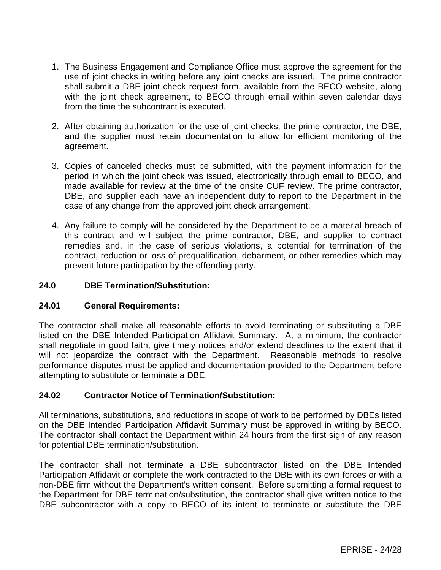- 1. The Business Engagement and Compliance Office must approve the agreement for the use of joint checks in writing before any joint checks are issued. The prime contractor shall submit a DBE joint check request form, available from the BECO website, along with the joint check agreement, to BECO through email within seven calendar days from the time the subcontract is executed.
- 2. After obtaining authorization for the use of joint checks, the prime contractor, the DBE, and the supplier must retain documentation to allow for efficient monitoring of the agreement.
- 3. Copies of canceled checks must be submitted, with the payment information for the period in which the joint check was issued, electronically through email to BECO, and made available for review at the time of the onsite CUF review. The prime contractor, DBE, and supplier each have an independent duty to report to the Department in the case of any change from the approved joint check arrangement.
- 4. Any failure to comply will be considered by the Department to be a material breach of this contract and will subject the prime contractor, DBE, and supplier to contract remedies and, in the case of serious violations, a potential for termination of the contract, reduction or loss of prequalification, debarment, or other remedies which may prevent future participation by the offending party.

## **24.0 DBE Termination/Substitution:**

### **24.01 General Requirements:**

The contractor shall make all reasonable efforts to avoid terminating or substituting a DBE listed on the DBE Intended Participation Affidavit Summary. At a minimum, the contractor shall negotiate in good faith, give timely notices and/or extend deadlines to the extent that it will not jeopardize the contract with the Department. Reasonable methods to resolve performance disputes must be applied and documentation provided to the Department before attempting to substitute or terminate a DBE.

# **24.02 Contractor Notice of Termination/Substitution:**

All terminations, substitutions, and reductions in scope of work to be performed by DBEs listed on the DBE Intended Participation Affidavit Summary must be approved in writing by BECO. The contractor shall contact the Department within 24 hours from the first sign of any reason for potential DBE termination/substitution.

The contractor shall not terminate a DBE subcontractor listed on the DBE Intended Participation Affidavit or complete the work contracted to the DBE with its own forces or with a non-DBE firm without the Department's written consent. Before submitting a formal request to the Department for DBE termination/substitution, the contractor shall give written notice to the DBE subcontractor with a copy to BECO of its intent to terminate or substitute the DBE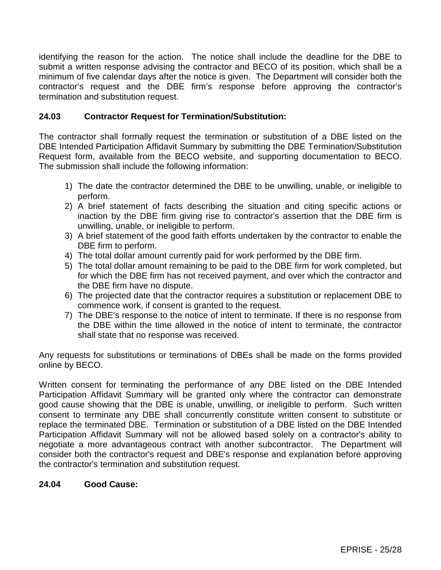identifying the reason for the action. The notice shall include the deadline for the DBE to submit a written response advising the contractor and BECO of its position, which shall be a minimum of five calendar days after the notice is given. The Department will consider both the contractor's request and the DBE firm's response before approving the contractor's termination and substitution request.

## **24.03 Contractor Request for Termination/Substitution:**

The contractor shall formally request the termination or substitution of a DBE listed on the DBE Intended Participation Affidavit Summary by submitting the DBE Termination/Substitution Request form, available from the BECO website, and supporting documentation to BECO. The submission shall include the following information:

- 1) The date the contractor determined the DBE to be unwilling, unable, or ineligible to perform.
- 2) A brief statement of facts describing the situation and citing specific actions or inaction by the DBE firm giving rise to contractor's assertion that the DBE firm is unwilling, unable, or ineligible to perform.
- 3) A brief statement of the good faith efforts undertaken by the contractor to enable the DBE firm to perform.
- 4) The total dollar amount currently paid for work performed by the DBE firm.
- 5) The total dollar amount remaining to be paid to the DBE firm for work completed, but for which the DBE firm has not received payment, and over which the contractor and the DBE firm have no dispute.
- 6) The projected date that the contractor requires a substitution or replacement DBE to commence work, if consent is granted to the request.
- 7) The DBE's response to the notice of intent to terminate. If there is no response from the DBE within the time allowed in the notice of intent to terminate, the contractor shall state that no response was received.

Any requests for substitutions or terminations of DBEs shall be made on the forms provided online by BECO.

Written consent for terminating the performance of any DBE listed on the DBE Intended Participation Affidavit Summary will be granted only where the contractor can demonstrate good cause showing that the DBE is unable, unwilling, or ineligible to perform. Such written consent to terminate any DBE shall concurrently constitute written consent to substitute or replace the terminated DBE. Termination or substitution of a DBE listed on the DBE Intended Participation Affidavit Summary will not be allowed based solely on a contractor's ability to negotiate a more advantageous contract with another subcontractor. The Department will consider both the contractor's request and DBE's response and explanation before approving the contractor's termination and substitution request.

### **24.04 Good Cause:**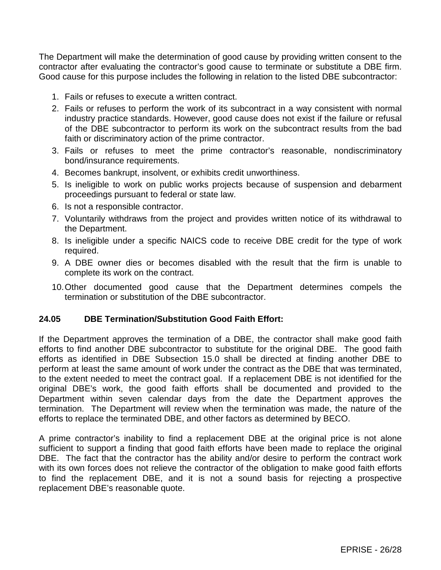The Department will make the determination of good cause by providing written consent to the contractor after evaluating the contractor's good cause to terminate or substitute a DBE firm. Good cause for this purpose includes the following in relation to the listed DBE subcontractor:

- 1. Fails or refuses to execute a written contract.
- 2. Fails or refuses to perform the work of its subcontract in a way consistent with normal industry practice standards. However, good cause does not exist if the failure or refusal of the DBE subcontractor to perform its work on the subcontract results from the bad faith or discriminatory action of the prime contractor.
- 3. Fails or refuses to meet the prime contractor's reasonable, nondiscriminatory bond/insurance requirements.
- 4. Becomes bankrupt, insolvent, or exhibits credit unworthiness.
- 5. Is ineligible to work on public works projects because of suspension and debarment proceedings pursuant to federal or state law.
- 6. Is not a responsible contractor.
- 7. Voluntarily withdraws from the project and provides written notice of its withdrawal to the Department.
- 8. Is ineligible under a specific NAICS code to receive DBE credit for the type of work required.
- 9. A DBE owner dies or becomes disabled with the result that the firm is unable to complete its work on the contract.
- 10.Other documented good cause that the Department determines compels the termination or substitution of the DBE subcontractor.

### **24.05 DBE Termination/Substitution Good Faith Effort:**

If the Department approves the termination of a DBE, the contractor shall make good faith efforts to find another DBE subcontractor to substitute for the original DBE. The good faith efforts as identified in DBE Subsection 15.0 shall be directed at finding another DBE to perform at least the same amount of work under the contract as the DBE that was terminated, to the extent needed to meet the contract goal. If a replacement DBE is not identified for the original DBE's work, the good faith efforts shall be documented and provided to the Department within seven calendar days from the date the Department approves the termination. The Department will review when the termination was made, the nature of the efforts to replace the terminated DBE, and other factors as determined by BECO.

A prime contractor's inability to find a replacement DBE at the original price is not alone sufficient to support a finding that good faith efforts have been made to replace the original DBE. The fact that the contractor has the ability and/or desire to perform the contract work with its own forces does not relieve the contractor of the obligation to make good faith efforts to find the replacement DBE, and it is not a sound basis for rejecting a prospective replacement DBE's reasonable quote.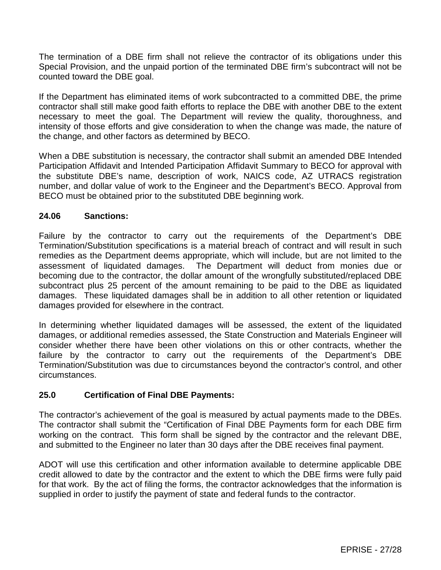The termination of a DBE firm shall not relieve the contractor of its obligations under this Special Provision, and the unpaid portion of the terminated DBE firm's subcontract will not be counted toward the DBE goal.

If the Department has eliminated items of work subcontracted to a committed DBE, the prime contractor shall still make good faith efforts to replace the DBE with another DBE to the extent necessary to meet the goal. The Department will review the quality, thoroughness, and intensity of those efforts and give consideration to when the change was made, the nature of the change, and other factors as determined by BECO.

When a DBE substitution is necessary, the contractor shall submit an amended DBE Intended Participation Affidavit and Intended Participation Affidavit Summary to BECO for approval with the substitute DBE's name, description of work, NAICS code, AZ UTRACS registration number, and dollar value of work to the Engineer and the Department's BECO. Approval from BECO must be obtained prior to the substituted DBE beginning work.

### **24.06 Sanctions:**

Failure by the contractor to carry out the requirements of the Department's DBE Termination/Substitution specifications is a material breach of contract and will result in such remedies as the Department deems appropriate, which will include, but are not limited to the assessment of liquidated damages. The Department will deduct from monies due or becoming due to the contractor, the dollar amount of the wrongfully substituted/replaced DBE subcontract plus 25 percent of the amount remaining to be paid to the DBE as liquidated damages. These liquidated damages shall be in addition to all other retention or liquidated damages provided for elsewhere in the contract.

In determining whether liquidated damages will be assessed, the extent of the liquidated damages, or additional remedies assessed, the State Construction and Materials Engineer will consider whether there have been other violations on this or other contracts, whether the failure by the contractor to carry out the requirements of the Department's DBE Termination/Substitution was due to circumstances beyond the contractor's control, and other circumstances.

# **25.0 Certification of Final DBE Payments:**

The contractor's achievement of the goal is measured by actual payments made to the DBEs. The contractor shall submit the "Certification of Final DBE Payments form for each DBE firm working on the contract. This form shall be signed by the contractor and the relevant DBE, and submitted to the Engineer no later than 30 days after the DBE receives final payment.

ADOT will use this certification and other information available to determine applicable DBE credit allowed to date by the contractor and the extent to which the DBE firms were fully paid for that work. By the act of filing the forms, the contractor acknowledges that the information is supplied in order to justify the payment of state and federal funds to the contractor.